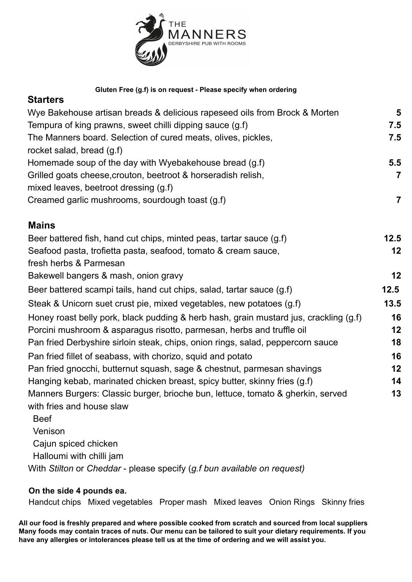

| Gluten Free (g.f) is on request - Please specify when ordering<br><b>Starters</b>     |                |
|---------------------------------------------------------------------------------------|----------------|
|                                                                                       |                |
| Tempura of king prawns, sweet chilli dipping sauce (g.f)                              | 7.5            |
| The Manners board. Selection of cured meats, olives, pickles,                         | 7.5            |
| rocket salad, bread (g.f)                                                             |                |
| Homemade soup of the day with Wyebakehouse bread (g.f)                                | 5.5            |
| Grilled goats cheese, crouton, beetroot & horseradish relish,                         | $\overline{7}$ |
| mixed leaves, beetroot dressing (g.f)                                                 |                |
| Creamed garlic mushrooms, sourdough toast (g.f)                                       | $\overline{7}$ |
| <b>Mains</b>                                                                          |                |
| Beer battered fish, hand cut chips, minted peas, tartar sauce (g.f)                   | 12.5           |
| Seafood pasta, trofietta pasta, seafood, tomato & cream sauce,                        | 12             |
| fresh herbs & Parmesan                                                                |                |
| Bakewell bangers & mash, onion gravy                                                  | 12             |
| Beer battered scampi tails, hand cut chips, salad, tartar sauce (g.f)                 | 12.5           |
| Steak & Unicorn suet crust pie, mixed vegetables, new potatoes (g.f)                  | 13.5           |
| Honey roast belly pork, black pudding & herb hash, grain mustard jus, crackling (g.f) | 16             |
| Porcini mushroom & asparagus risotto, parmesan, herbs and truffle oil                 | 12             |
| Pan fried Derbyshire sirloin steak, chips, onion rings, salad, peppercorn sauce       | 18             |
| Pan fried fillet of seabass, with chorizo, squid and potato                           | 16             |
| Pan fried gnocchi, butternut squash, sage & chestnut, parmesan shavings               | 12             |
| Hanging kebab, marinated chicken breast, spicy butter, skinny fries (g.f)             | 14             |
| Manners Burgers: Classic burger, brioche bun, lettuce, tomato & gherkin, served       | 13             |
| with fries and house slaw                                                             |                |

Beef Venison Cajun spiced chicken Halloumi with chilli jam With *Stilton* or *Cheddar* - please specify (*g.f bun available on request)*

## **On the side 4 pounds ea.**

Handcut chips Mixed vegetables Proper mash Mixed leaves Onion Rings Skinny fries

**All our food is freshly prepared and where possible cooked from scratch and sourced from local suppliers** Many foods may contain traces of nuts. Our menu can be tailored to suit your dietary requirements. If you **have any allergies or intolerances please tell us at the time of ordering and we will assist you.**